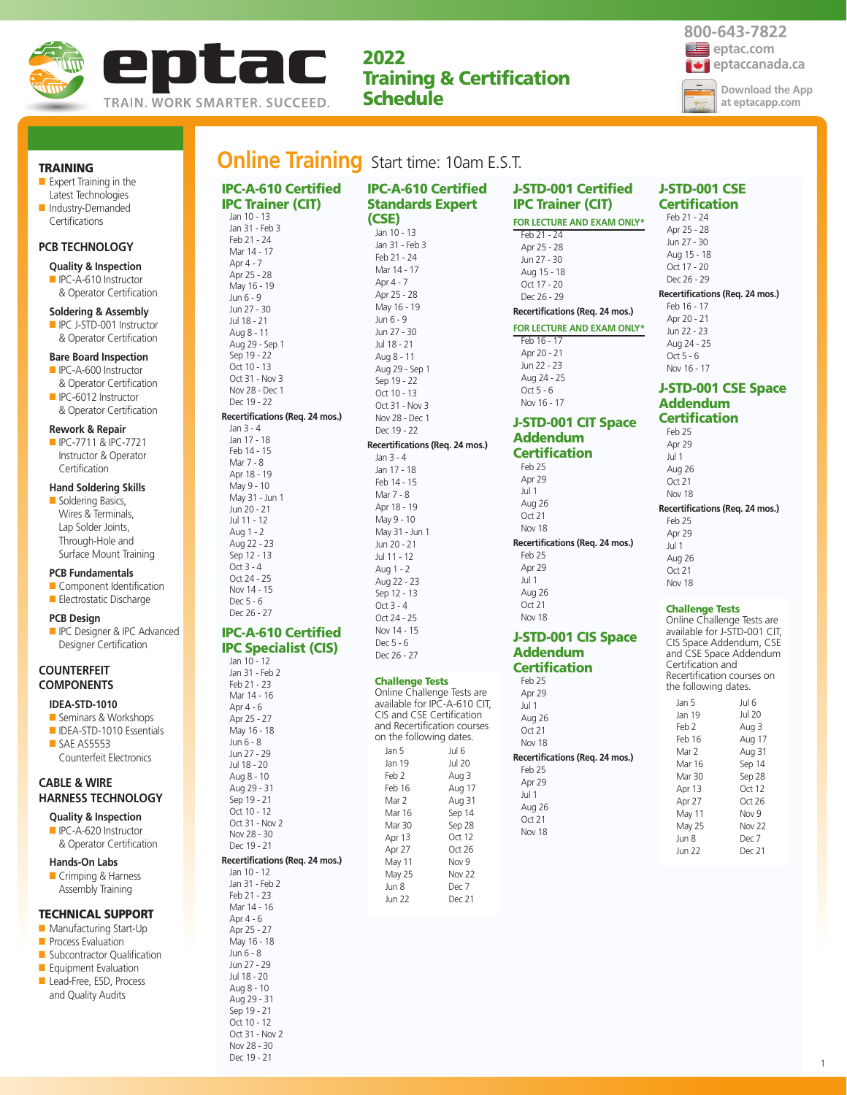

**2022 Training & Certification Schedule**

# **Online Training** Start time: 10am E.S.T.

|                       | <b>Quality &amp; Inspection</b> |  |  |
|-----------------------|---------------------------------|--|--|
| <b>PCB TECHNOLOGY</b> |                                 |  |  |
|                       | Certifications                  |  |  |
|                       | Industry-Demanded               |  |  |
|                       | Latest Technologies             |  |  |
|                       | EXPEIT TRAINING IN THE          |  |  |

■ Expert Training in the

**TRAINING**

#### ■ IPC-A-610 Instructor & Operator Certification

#### **Soldering & Assembly**

■ IPC J-STD-001 Instructor & Operator Certification

#### **Bare Board Inspection**

- IPC-A-600 Instructor & Operator Certification
- IPC-6012 Instructor & Operator Certification

#### **Rework & Repair**

■ IPC-7711 & IPC-7721 Instructor & Operator **Certification** 

#### **Hand Soldering Skills**

■ Soldering Basics, Wires & Terminals, Lap Solder Joints, Through-Hole and Surface Mount Training

#### **PCB Fundamentals**

- Component Identification ■ Electrostatic Discharge
- 
- **PCB Design**
- **ID** IPC Designer & IPC Advanced Designer Certification

#### **COUNTERFEIT COMPONENTS**

#### **IDEA-STD-1010**

■ Seminars & Workshops ■ IDEA-STD-1010 Essentials ■ SAE AS5553 Counterfeit Electronics

#### **CABLE & WIRE HARNESS TECHNOLOGY**

- **Quality & Inspection** ■ IPC-A-620 Instructor
- & Operator Certification **Hands-On Labs**

■ Crimping & Harness Assembly Training

#### **TECHNICAL SUPPORT**

- Manufacturing Start-Up
- **Process Evaluation**
- Subcontractor Qualification
- Equipment Evaluation ■ Lead-Free, ESD, Process
- and Quality Audits
- Jan 31 Feb 2 Feb 21 - 23 Mar 14 - 16 Apr  $4 - 6$ Apr 25 - 27 May 16 - 18 Jun 6 - 8 Jun 27 - 29 Jul 18 - 20 Aug 8 - 10 Aug 29 - 31 Sep 19 - 21 Oct 10 - 12 Oct 31 - Nov 2 Nov 28 - 30

Dec 19 - 21

| <b>IPC-A-610 Certified</b>      | <b>IPC-A-610 Certified</b>                               |
|---------------------------------|----------------------------------------------------------|
| <b>IPC Trainer (CIT)</b>        | <b>Standards Expert</b>                                  |
| Jan 10 - 13                     | (CSE)                                                    |
| Jan 31 - Feb 3                  |                                                          |
| Feb 21 - 24                     | Jan 10 - 13<br>Jan 31 - Feb 3                            |
| Mar 14 - 17                     | Feb 21 - 24                                              |
| Apr 4 - 7                       | Mar 14 - 17                                              |
| Apr 25 - 28                     | Apr 4 - 7                                                |
| May 16 - 19                     | Apr 25 - 28                                              |
| Jun 6 - 9                       | May 16 - 19                                              |
| Jun 27 - 30<br>Jul 18 - 21      | Jun 6 - 9                                                |
| Aug 8 - 11                      | Jun 27 - 30                                              |
| Aug 29 - Sep 1                  | Jul 18 - 21                                              |
| Sep 19 - 22                     | Aug 8 - 11                                               |
| Oct 10 - 13                     | Aug 29 - Sep 1                                           |
| Oct 31 - Nov 3                  | Sep 19 - 22                                              |
| Nov 28 - Dec 1                  | Oct 10 - 13                                              |
| Dec 19 - 22                     | Oct 31 - Nov 3                                           |
| Recertifications (Req. 24 mos.) | Nov 28 - Dec 1                                           |
| Jan 3 - 4                       | Dec 19 - 22                                              |
| Jan 17 - 18<br>Feb 14 - 15      | Recertifications (Req. 24 mos.)                          |
| Mar 7 - 8                       | Jan 3 - 4                                                |
| Apr 18 - 19                     | Jan 17 - 18                                              |
| May 9 - 10                      | Feb 14 - 15                                              |
| May 31 - Jun 1                  | Mar 7 - 8                                                |
| Jun 20 - 21                     | Apr 18 - 19                                              |
| Jul 11 - 12                     | May 9 - 10                                               |
| Aug 1 - 2                       | May 31 - Jun 1                                           |
| Aug 22 - 23<br>Sep 12 - 13      | Jun 20 - 21<br>Jul 11 - 12                               |
| Oct 3 - 4                       |                                                          |
| Oct 24 - 25                     | Aug 1 - 2<br>Aug 22 - 23                                 |
| Nov 14 - 15                     | Sep 12 - 13                                              |
| Dec 5 - 6                       | $Oct 3 - 4$                                              |
| Dec 26 - 27                     | Oct 24 - 25                                              |
| <b>IPC-A-610 Certified</b>      | Nov 14 - 15                                              |
|                                 | Dec 5 - 6                                                |
| <b>IPC Specialist (CIS)</b>     | Dec 26 - 27                                              |
| Jan 10 - 12<br>Jan 31 - Feb 2   |                                                          |
| Feb 21 - 23                     | <b>Challenge Tests</b>                                   |
| Mar 14 - 16                     | Online Challenge Tests are                               |
| Apr 4 - 6                       | available for IPC-A-610 CIT,                             |
| Apr 25 - 27                     | CIS and CSE Certification<br>and Recertification courses |
| May 16 - 18                     | on the following dates.                                  |
| Jun 6 - 8                       | Jan 5<br>Jul 6                                           |
| Jun 27 - 29<br>Jul 18 - 20      | Jan 19<br><b>Jul 20</b>                                  |
| Aug 8 - 10                      | Feb 2<br>Aug 3                                           |
| Aug 29 - 31                     | Feb 16<br>Aug 17                                         |
| Sep 19 - 21                     | Mar 2<br>Aug 31                                          |
| Oct 10 - 12                     | Mar 16<br>Sep 14                                         |
| Oct 31 - Nov 2                  | Mar 30<br>Sep 28                                         |
| Nov 28 - 30                     | Apr 13<br>Oct 12                                         |
| Dec 19 - 21                     | Apr 27<br>Oct 26                                         |
| Recertifications (Req. 24 mos.) | May 11<br>Nov 9                                          |
| Jan 10 - 12<br>Jan 31 - Feb 2   | <b>Nov 22</b><br>May 25                                  |
| Feb 21 - 23                     | Jun 8<br>Dec 7                                           |
| Mar 14 - 16                     | Jun 22<br>Dec 21                                         |
| Apr 4 - 6                       |                                                          |
| Apr 25 - 27                     |                                                          |
| May 16 - 18                     |                                                          |
| Jun 6 - 8                       |                                                          |
| Jun 27 - 29                     |                                                          |
| Jul 18 - 20                     |                                                          |
| Aug 8 - 10<br>Aug 29 - 31       |                                                          |
| Sep 19 - 21                     |                                                          |
| $Ort 10 - 12$                   |                                                          |

#### **J-STD-001 Certified IPC Trainer (CIT) FOR LECTURE AND EXAM ONLY\*** Feb 21 - 24

Apr 25 - 28 Jun 27 - 30 Aug 15 - 18 Oct 17 - 20 Dec 26 - 29

#### **FOR LECTURE AND EXAM ONLY\*** Feb 16 - 17 Apr 20 - 21 Jun 22 - 23 Aug 24 - 25 Oct 5 - 6 Nov 16 - 17 **J-STD-001 CIT Space**

**Recertifications (Req. 24 mos.)**

# **Addendum Certification**

Feb 25 Apr 29 Jul 1 Aug 26  $Ort 21$ Nov 18 **Recertifications (Req. 24 mos.)** Feb 25 Apr 29 Jul 1

### Aug 26 Oct 21 Nov 18

#### **J-STD-001 CIS Space Addendum Certification**

Feb 25 Apr 29 Jul 1 Aug 26  $Ort 21$ Nov 18 **Recertifications (Req. 24 mos.)** Feb 25 Apr 29 Jul 1 Aug 26 Oct 21 Nov 18

#### **J-STD-001 CSE Certification** Feb 21 - 24

Apr 25 - 28 Jun 27 - 30 Aug 15 - 18 Oct 17 - 20 Dec 26 - 29 **Recertifications (Req. 24 mos.)**

Feb 16 - 17 Apr 20 - 21 Jun 22 - 23 Aug 24 - 25  $Or<sup>2</sup>5 - 6$ Nov 16 - 17

#### **J-STD-001 CSE Space Addendum Certification**

Feb 25 Apr 29 Jul 1 Aug 26 Oct 21 Nov 18 **Recertifications (Req. 24 mos.)**

Feb 25

Apr 29 Jul 1 Aug 26 Oct 21 Nov 18

#### **Challenge Tests**

Online Challenge Tests are available for J-STD-001 CIT, CIS Space Addendum, CSE and CSE Space Addendum Certification and Recertification courses on the following dates.

| Jan 5  | Jul 6         |
|--------|---------------|
| Jan 19 | Jul 20        |
| Feb 2  | Aug 3         |
| Feb 16 | Aug 17        |
| Mar 2  | Aug 31        |
| Mar 16 | Sep 14        |
| Mar 30 | Sep 28        |
| Apr 13 | Oct 12        |
| Apr 27 | Oct $26$      |
| May 11 | Nov 9         |
| May 25 | <b>Nov 22</b> |
| Jun 8  | Dec 7         |
| Jun 22 | Dec 21        |
|        |               |

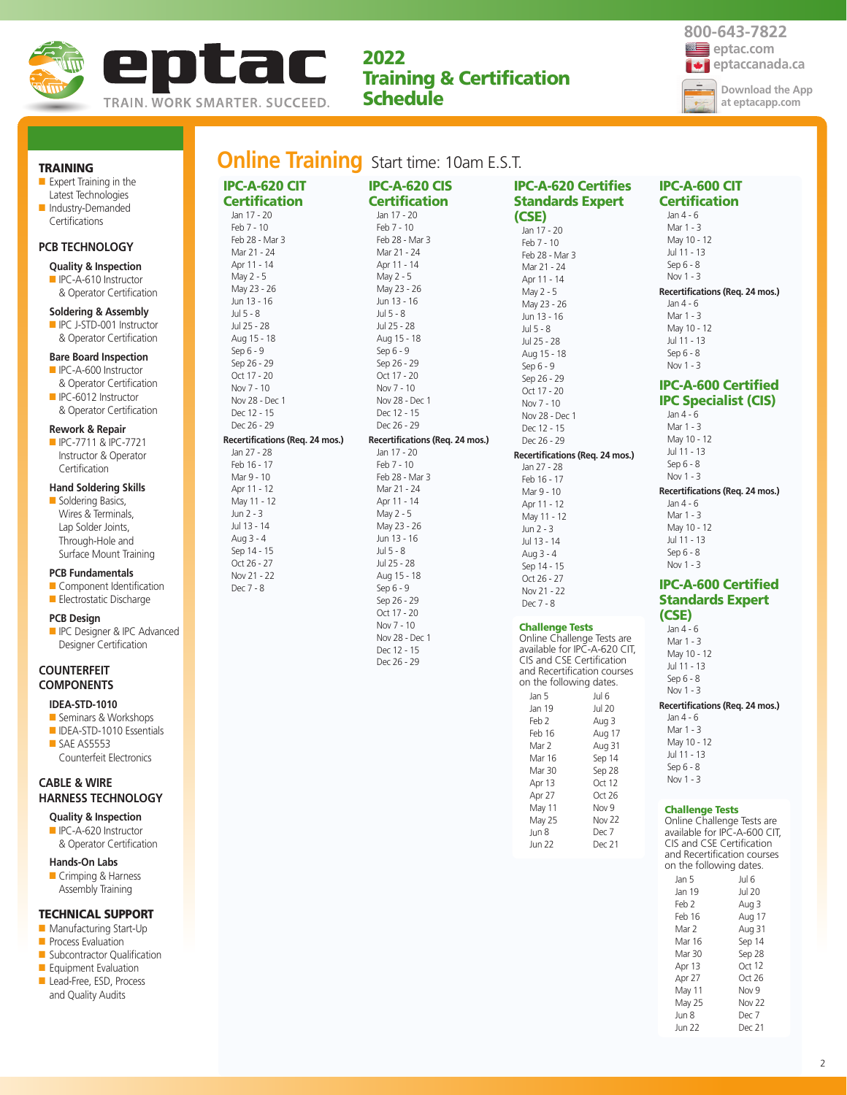

**IPC-A-620 CIT Certification** Jan 17 - 20 Feb 7 - 10 Feb 28 - Mar 3 Mar 21 - 24 Apr 11 - 14 May 2 - 5 May 23 - 26 Jun 13 - 16 Jul 5 - 8 Jul 25 - 28 Aug 15 - 18 Sep 6 - 9 Sep 26 - 29 Oct 17 - 20 Nov 7 - 10 Nov 28 - Dec 1 Dec 12 - 15 Dec 26 - 29

**Recertifications (Req. 24 mos.)**

Jan 27 - 28 Feb 16 - 17 Mar 9 - 10 Apr 11 - 12 May 11 - 12 Jun 2 - 3 Jul 13 - 14 Aug 3 - 4 Sep 14 - 15 Oct 26 - 27 Nov 21 - 22 Dec 7 - 8

**2022 Training & Certification Schedule**

# **Online Training** Start time: 10am E.S.T.

**TRAINING** ■ Expert Training in the Latest Technologies ■ Industry-Demanded Certifications

#### **PCB TECHNOLOGY**

#### **Quality & Inspection**

■ IPC-A-610 Instructor & Operator Certification

#### **Soldering & Assembly**

■ IPC J-STD-001 Instructor & Operator Certification

#### **Bare Board Inspection**

- IPC-A-600 Instructor & Operator Certification
- IPC-6012 Instructor & Operator Certification

#### **Rework & Repair**

■ IPC-7711 & IPC-7721 Instructor & Operator **Certification** 

#### **Hand Soldering Skills**

■ Soldering Basics, Wires & Terminals, Lap Solder Joints, Through-Hole and Surface Mount Training

#### **PCB Fundamentals**

■ Component Identification ■ Electrostatic Discharge

#### **PCB Design**

**ID** IPC Designer & IPC Advanced Designer Certification

#### **COUNTERFEIT COMPONENTS**

### **IDEA-STD-1010**

- Seminars & Workshops
- IDEA-STD-1010 Essentials ■ SAE AS5553 Counterfeit Electronics

## **CABLE & WIRE HARNESS TECHNOLOGY**

- **Quality & Inspection** ■ IPC-A-620 Instructor
- & Operator Certification

# **Hands-On Labs**

■ Crimping & Harness Assembly Training

#### **TECHNICAL SUPPORT**

- Manufacturing Start-Up
- **Process Evaluation**
- Subcontractor Qualification ■ Equipment Evaluation
- Lead-Free, ESD, Process
- and Quality Audits

| <b>IPC-A-620 CIS</b>            |  |
|---------------------------------|--|
| <b>Certification</b>            |  |
| Jan 17 - 20                     |  |
| Feb 7 - 10                      |  |
| Feb 28 - Mar 3                  |  |
| Mar 21 - 24                     |  |
| Apr 11 - 14                     |  |
| May 2 - 5                       |  |
| May 23 - 26                     |  |
| Jun 13 - 16                     |  |
| Jul 5 - 8                       |  |
| Jul 25 - 28                     |  |
| Aug 15 - 18                     |  |
| Sep 6 - 9                       |  |
| Sep 26 - 29                     |  |
| Oct 17 - 20                     |  |
| Nov 7 - 10                      |  |
| Nov 28 - Dec 1                  |  |
| Dec 12 - 15                     |  |
| Dec 26 - 29                     |  |
| Recertifications (Req. 24 mos.) |  |
| Jan 17 - 20                     |  |
| Feb 7 - 10                      |  |
| Feb 28 - Mar 3                  |  |
| Mar 21 - 24                     |  |
| Apr 11 - 14                     |  |
| May 2 - 5                       |  |
| May 23 - 26                     |  |
| Jun 13 - 16                     |  |
| Jul 5 - 8<br>Jul 25 - 28        |  |
| Aug 15 - 18                     |  |
| Sep 6 - 9                       |  |
| Sep 26 - 29                     |  |
| Oct 17 - 20                     |  |
| Nov 7 - 10                      |  |
| Nov 28 - Dec 1                  |  |
| Dec 12 - 15                     |  |
| Dec 26 - 29                     |  |

**IPC-A-620 Certifies Standards Expert (CSE)** Jan 17 - 20 Feb 7 - 10 Feb 28 - Mar 3 Mar 21 - 24  $\Delta$ pr 11 - 14 May 2 - 5 May 23 - 26 Jun 13 - 16 Jul 5 - 8 Jul 25 - 28 Aug 15 - 18 Sep 6 - 9 Sep 26 - 29 Oct 17 - 20 Nov 7 - 10 Nov 28 - Dec 1 Dec 12 - 15 Dec 26 - 29 **Recertifications (Req. 24 mos.)** Jan 27 - 28 Feb 16 - 17 Mar 9 - 10 Apr 11 - 12 May 11 - 12 Jun 2 - 3 Jul 13 - 14 Aug 3 - 4 Sep 14 - 15 Oct 26 - 27 Nov 21 - 22 Dec 7 - 8 **Challenge Tests**

#### Online Challenge Tests are available for IPC-A-620 CIT, CIS and CSE Certification and Recertification courses on the following dates. Jan 5 Jan 19 Feb 2 Feb 16 Mar 2 Mar 16 Mar 30 Apr 13 Apr 27 May 11 May 25 Jun 8 Jun 22 Jul 6 Jul 20 Aug 3 Aug 17 Aug 31 Sep 14 Sep 28  $Oct$  12 Oct 26 Nov 9 Nov 22 Dec 7 Dec 21

#### **IPC-A-600 CIT Certification** Jan 4 - 6

Mar 1 - 3 May 10 - 12 Jul 11 - 13 Sep 6 - 8 Nov 1 - 3 **Recertifications (Req. 24 mos.)** Jan 4 - 6

- Mar 1 3 May 10 - 12 Jul 11 - 13 Sep 6 - 8
- Nov 1 3

#### **IPC-A-600 Certified IPC Specialist (CIS)**

 $lan 4 - 6$ Mar 1 - 3 May 10 - 12 Jul 11 - 13 Sep 6 - 8  $Now 1 - 3$ 

**Recertifications (Req. 24 mos.)**

Jan 4 - 6 Mar 1 - 3 May 10 - 12 Jul 11 - 13 Sep 6 - 8 Nov 1 - 3

#### **IPC-A-600 Certified Standards Expert (CSE)**

Jan 4 - 6

Mar 1 - 3 May 10 - 12 Jul 11 - 13 Sep 6 - 8 Nov 1 - 3

#### **Recertifications (Req. 24 mos.)**

Jan 4 - 6 Mar 1 - 3 May 10 - 12 Jul 11 - 13 Sep 6 - 8 Nov 1 - 3

#### **Challenge Tests**

Online Challenge Tests are available for IPC-A-600 CIT, CIS and CSE Certification and Recertification courses on the following dates.

| Jan 5  | Jul 6         |
|--------|---------------|
| Jan 19 | Jul 20        |
| Feb 2  | Aug 3         |
| Feb 16 | Aug 17        |
| Mar 2  | Aug 31        |
| Mar 16 | Sep 14        |
| Mar 30 | Sep 28        |
| Apr 13 | Oct 12        |
| Apr 27 | Oct 26        |
| May 11 | Nov 9         |
| May 25 | <b>Nov 22</b> |
| Jun 8  | Dec 7         |
| Jun 22 | Dec 21        |